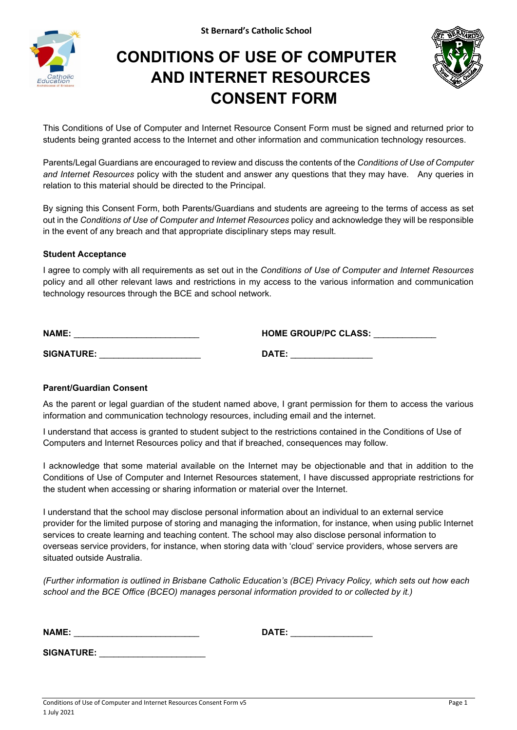**St Bernard's Catholic School**



# **CONDITIONS OF USE OF COMPUTER AND INTERNET RESOURCES CONSENT FORM**



This Conditions of Use of Computer and Internet Resource Consent Form must be signed and returned prior to students being granted access to the Internet and other information and communication technology resources.

Parents/Legal Guardians are encouraged to review and discuss the contents of the *Conditions of Use of Computer and Internet Resources* policy with the student and answer any questions that they may have. Any queries in relation to this material should be directed to the Principal.

By signing this Consent Form, both Parents/Guardians and students are agreeing to the terms of access as set out in the *Conditions of Use of Computer and Internet Resources* policy and acknowledge they will be responsible in the event of any breach and that appropriate disciplinary steps may result.

#### **Student Acceptance**

I agree to comply with all requirements as set out in the *Conditions of Use of Computer and Internet Resources* policy and all other relevant laws and restrictions in my access to the various information and communication technology resources through the BCE and school network.

| <b>NAME:</b>      | <b>HOME GROUP/PC CLASS:</b> |
|-------------------|-----------------------------|
| <b>SIGNATURE:</b> | DATE:                       |
|                   |                             |

## **Parent/Guardian Consent**

As the parent or legal guardian of the student named above, I grant permission for them to access the various information and communication technology resources, including email and the internet.

I understand that access is granted to student subject to the restrictions contained in the Conditions of Use of Computers and Internet Resources policy and that if breached, consequences may follow.

I acknowledge that some material available on the Internet may be objectionable and that in addition to the Conditions of Use of Computer and Internet Resources statement, I have discussed appropriate restrictions for the student when accessing or sharing information or material over the Internet.

I understand that the school may disclose personal information about an individual to an external service provider for the limited purpose of storing and managing the information, for instance, when using public Internet services to create learning and teaching content. The school may also disclose personal information to overseas service providers, for instance, when storing data with 'cloud' service providers, whose servers are situated outside Australia.

*(Further information is outlined in Brisbane Catholic Education's (BCE) Privacy Policy, which sets out how each school and the BCE Office (BCEO) manages personal information provided to or collected by it.)*

| <b>NAME</b> |  |  |
|-------------|--|--|
|             |  |  |

**SIGNATURE:** \_\_\_\_\_\_\_\_\_\_\_\_\_\_\_\_\_\_\_\_\_\_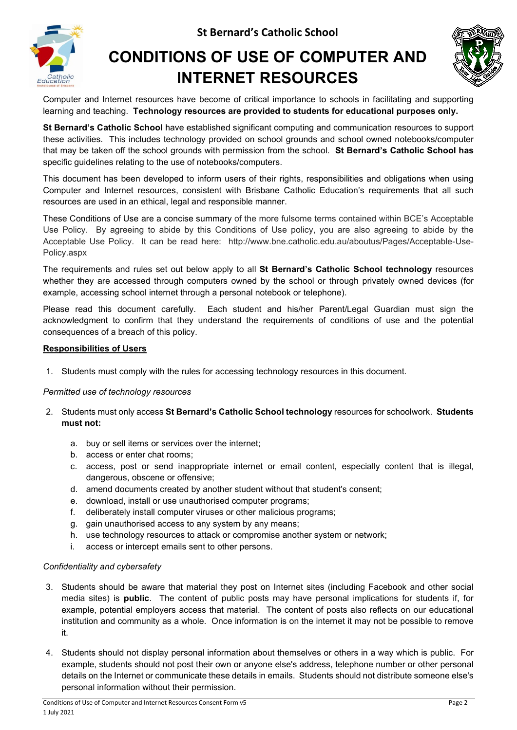



# **CONDITIONS OF USE OF COMPUTER AND INTERNET RESOURCES**



Computer and Internet resources have become of critical importance to schools in facilitating and supporting learning and teaching. **Technology resources are provided to students for educational purposes only.**

**St Bernard's Catholic School** have established significant computing and communication resources to support these activities. This includes technology provided on school grounds and school owned notebooks/computer that may be taken off the school grounds with permission from the school. **St Bernard's Catholic School has** specific guidelines relating to the use of notebooks/computers.

This document has been developed to inform users of their rights, responsibilities and obligations when using Computer and Internet resources, consistent with Brisbane Catholic Education's requirements that all such resources are used in an ethical, legal and responsible manner.

These Conditions of Use are a concise summary of the more fulsome terms contained within BCE's Acceptable Use Policy. By agreeing to abide by this Conditions of Use policy, you are also agreeing to abide by the Acceptable Use Policy. It can be read here: http://www.bne.catholic.edu.au/aboutus/Pages/Acceptable-Use-Policy.aspx

The requirements and rules set out below apply to all **St Bernard's Catholic School technology** resources whether they are accessed through computers owned by the school or through privately owned devices (for example, accessing school internet through a personal notebook or telephone).

Please read this document carefully. Each student and his/her Parent/Legal Guardian must sign the acknowledgment to confirm that they understand the requirements of conditions of use and the potential consequences of a breach of this policy.

### **Responsibilities of Users**

1. Students must comply with the rules for accessing technology resources in this document.

#### *Permitted use of technology resources*

- 2. Students must only access **St Bernard's Catholic School technology** resources for schoolwork. **Students must not:**
	- a. buy or sell items or services over the internet;
	- b. access or enter chat rooms;
	- c. access, post or send inappropriate internet or email content, especially content that is illegal, dangerous, obscene or offensive;
	- d. amend documents created by another student without that student's consent;
	- e. download, install or use unauthorised computer programs;
	- f. deliberately install computer viruses or other malicious programs;
	- g. gain unauthorised access to any system by any means;
	- h. use technology resources to attack or compromise another system or network;
	- i. access or intercept emails sent to other persons.

#### *Confidentiality and cybersafety*

- 3. Students should be aware that material they post on Internet sites (including Facebook and other social media sites) is **public**. The content of public posts may have personal implications for students if, for example, potential employers access that material. The content of posts also reflects on our educational institution and community as a whole. Once information is on the internet it may not be possible to remove it.
- 4. Students should not display personal information about themselves or others in a way which is public. For example, students should not post their own or anyone else's address, telephone number or other personal details on the Internet or communicate these details in emails. Students should not distribute someone else's personal information without their permission.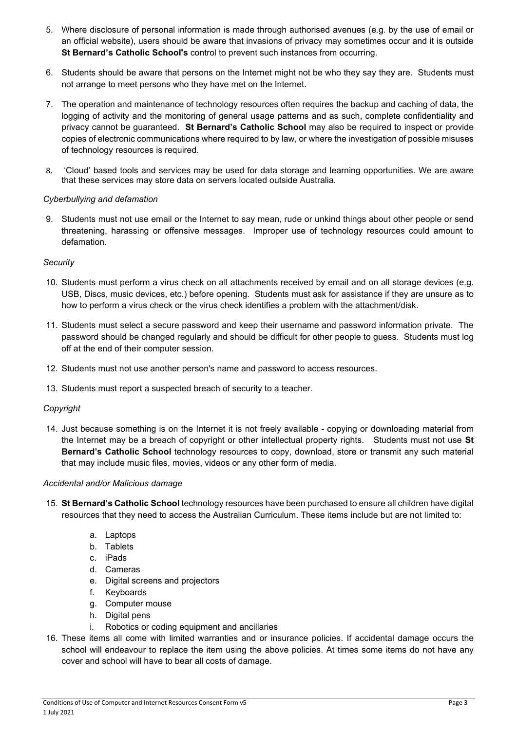- 5. Where disclosure of personal information is made through authorised avenues (e.g. by the use of email or an official website), users should be aware that invasions of privacy may sometimes occur and it is outside **St Bernard's Catholic School's** control to prevent such instances from occurring.
- 6. Students should be aware that persons on the Internet might not be who they say they are. Students must not arrange to meet persons who they have met on the Internet.
- 7. The operation and maintenance of technology resources often requires the backup and caching of data, the logging of activity and the monitoring of general usage patterns and as such, complete confidentiality and privacy cannot be guaranteed. **St Bernard's Catholic School** may also be required to inspect or provide copies of electronic communications where required to by law, or where the investigation of possible misuses of technology resources is required.
- 8. 'Cloud' based tools and services may be used for data storage and learning opportunities. We are aware that these services may store data on servers located outside Australia.

### *Cyberbullying and defamation*

9. Students must not use email or the Internet to say mean, rude or unkind things about other people or send threatening, harassing or offensive messages. Improper use of technology resources could amount to defamation.

#### *Security*

- 10. Students must perform a virus check on all attachments received by email and on all storage devices (e.g. USB, Discs, music devices, etc.) before opening. Students must ask for assistance if they are unsure as to how to perform a virus check or the virus check identifies a problem with the attachment/disk.
- 11. Students must select a secure password and keep their username and password information private. The password should be changed regularly and should be difficult for other people to guess. Students must log off at the end of their computer session.
- 12. Students must not use another person's name and password to access resources.
- 13. Students must report a suspected breach of security to a teacher.

## *Copyright*

14. Just because something is on the Internet it is not freely available - copying or downloading material from the Internet may be a breach of copyright or other intellectual property rights. Students must not use **St Bernard's Catholic School** technology resources to copy, download, store or transmit any such material that may include music files, movies, videos or any other form of media.

#### *Accidental and/or Malicious damage*

- 15. **St Bernard's Catholic School** technology resources have been purchased to ensure all children have digital resources that they need to access the Australian Curriculum. These items include but are not limited to:
	- a. Laptops
	- b. Tablets
	- c. iPads
	- d. Cameras
	- e. Digital screens and projectors
	- f. Keyboards
	- g. Computer mouse
	- h. Digital pens
	- i. Robotics or coding equipment and ancillaries
- 16. These items all come with limited warranties and or insurance policies. If accidental damage occurs the school will endeavour to replace the item using the above policies. At times some items do not have any cover and school will have to bear all costs of damage.